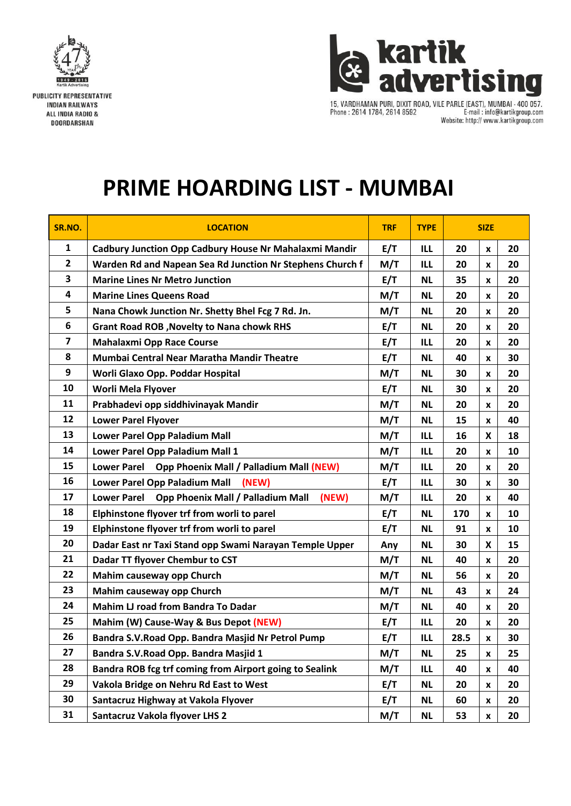



15, VARDHAMAN PURI, DIXIT ROAD, VILE PARLE (EAST), MUMBAI - 400 057.<br>Phone : 2614 1784, 2614 8592 E-mail : info@kartikgroup.com E-mail: info@kartikgroup.com Website: http:// www.kartikgroup.com

## **PRIME HOARDING LIST - MUMBAI**

| SR.NO.         | <b>LOCATION</b>                                                         | <b>TRF</b> | <b>TYPE</b> | <b>SIZE</b> |                           |    |
|----------------|-------------------------------------------------------------------------|------------|-------------|-------------|---------------------------|----|
| $\mathbf{1}$   | Cadbury Junction Opp Cadbury House Nr Mahalaxmi Mandir                  | E/T        | ILL         | 20          | $\pmb{\mathsf{x}}$        | 20 |
| $\overline{2}$ | Warden Rd and Napean Sea Rd Junction Nr Stephens Church f               | M/T        | ILL         | 20          | X                         | 20 |
| 3              | <b>Marine Lines Nr Metro Junction</b>                                   | E/T        | <b>NL</b>   | 35          | X                         | 20 |
| 4              | <b>Marine Lines Queens Road</b>                                         | M/T        | <b>NL</b>   | 20          | X                         | 20 |
| 5              | Nana Chowk Junction Nr. Shetty Bhel Fcg 7 Rd. Jn.                       | M/T        | <b>NL</b>   | 20          | $\pmb{\mathsf{x}}$        | 20 |
| 6              | <b>Grant Road ROB, Novelty to Nana chowk RHS</b>                        | E/T        | <b>NL</b>   | 20          | X                         | 20 |
| $\overline{ }$ | <b>Mahalaxmi Opp Race Course</b>                                        | E/T        | ILL         | 20          | X                         | 20 |
| 8              | Mumbai Central Near Maratha Mandir Theatre                              | E/T        | <b>NL</b>   | 40          | x                         | 30 |
| 9              | Worli Glaxo Opp. Poddar Hospital                                        | M/T        | <b>NL</b>   | 30          | X                         | 20 |
| 10             | Worli Mela Flyover                                                      | E/T        | <b>NL</b>   | 30          | x                         | 20 |
| 11             | Prabhadevi opp siddhivinayak Mandir                                     | M/T        | <b>NL</b>   | 20          | x                         | 20 |
| 12             | <b>Lower Parel Flyover</b>                                              | M/T        | <b>NL</b>   | 15          | $\pmb{\mathsf{x}}$        | 40 |
| 13             | Lower Parel Opp Paladium Mall                                           | M/T        | <b>ILL</b>  | 16          | $\boldsymbol{\mathsf{x}}$ | 18 |
| 14             | Lower Parel Opp Paladium Mall 1                                         | M/T        | ILL         | 20          | X                         | 10 |
| 15             | <b>Lower Parel</b><br><b>Opp Phoenix Mall / Palladium Mall (NEW)</b>    | M/T        | ILL         | 20          | X                         | 20 |
| 16             | Lower Parel Opp Paladium Mall<br>(NEW)                                  | E/T        | <b>ILL</b>  | 30          | $\pmb{\mathsf{x}}$        | 30 |
| 17             | <b>Opp Phoenix Mall / Palladium Mall</b><br>(NEW)<br><b>Lower Parel</b> | M/T        | ILL         | 20          | X                         | 40 |
| 18             | Elphinstone flyover trf from worli to parel                             | E/T        | <b>NL</b>   | 170         | X                         | 10 |
| 19             | Elphinstone flyover trf from worli to parel                             | E/T        | <b>NL</b>   | 91          | X                         | 10 |
| 20             | Dadar East nr Taxi Stand opp Swami Narayan Temple Upper                 | Any        | <b>NL</b>   | 30          | $\boldsymbol{\mathsf{x}}$ | 15 |
| 21             | Dadar TT flyover Chembur to CST                                         | M/T        | <b>NL</b>   | 40          | X                         | 20 |
| 22             | Mahim causeway opp Church                                               | M/T        | <b>NL</b>   | 56          | x                         | 20 |
| 23             | Mahim causeway opp Church                                               | M/T        | <b>NL</b>   | 43          | X                         | 24 |
| 24             | Mahim LJ road from Bandra To Dadar                                      | M/T        | <b>NL</b>   | 40          | X                         | 20 |
| 25             | Mahim (W) Cause-Way & Bus Depot (NEW)                                   | E/T        | <b>ILL</b>  | 20          | x                         | 20 |
| 26             | Bandra S.V. Road Opp. Bandra Masjid Nr Petrol Pump                      | E/T        | <b>ILL</b>  | 28.5        | X                         | 30 |
| 27             | Bandra S.V. Road Opp. Bandra Masjid 1                                   | M/T        | <b>NL</b>   | 25          | $\pmb{\mathsf{x}}$        | 25 |
| 28             | Bandra ROB fcg trf coming from Airport going to Sealink                 | M/T        | ILL         | 40          | X                         | 40 |
| 29             | Vakola Bridge on Nehru Rd East to West                                  | E/T        | <b>NL</b>   | 20          | X                         | 20 |
| 30             | Santacruz Highway at Vakola Flyover                                     | E/T        | <b>NL</b>   | 60          | $\pmb{\mathsf{x}}$        | 20 |
| 31             | <b>Santacruz Vakola flyover LHS 2</b>                                   | M/T        | <b>NL</b>   | 53          | X                         | 20 |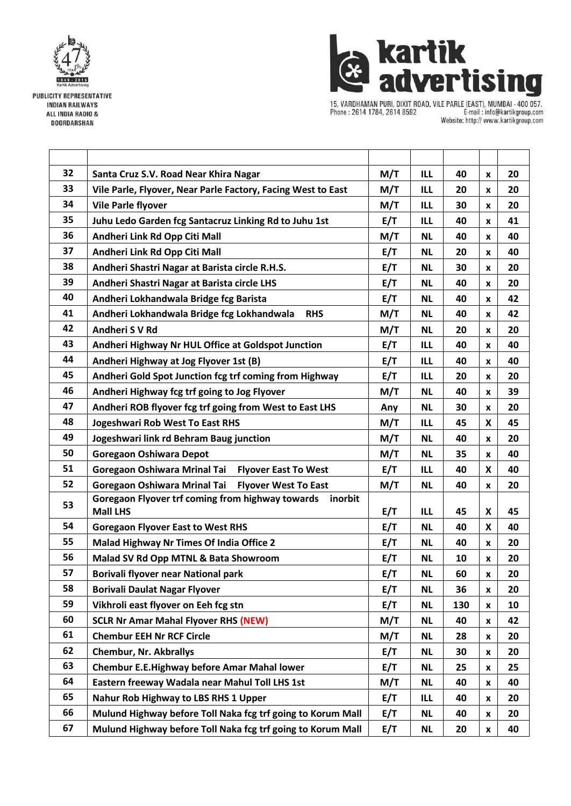

**PUBLICITY REPRESENTATIVE INDIAN RAILWAYS** ALL INDIA RADIO & **DOORDARSHAN** 



15, VARDHAMAN PURI, DIXIT ROAD, VILE PARLE (EAST), MUMBAI - 400 057.<br>Phone : 2614 1784, 2614 8592 [...] E-mail : info@kartikgroup.com Website: http:// www.kartikgroup.com

| 32 | Santa Cruz S.V. Road Near Khira Nagar                                          | M/T | ILL        | 40  | X                         | 20 |
|----|--------------------------------------------------------------------------------|-----|------------|-----|---------------------------|----|
| 33 | Vile Parle, Flyover, Near Parle Factory, Facing West to East                   | M/T | <b>ILL</b> | 20  | $\pmb{\mathsf{x}}$        | 20 |
| 34 | <b>Vile Parle flyover</b>                                                      | M/T | <b>ILL</b> | 30  | X                         | 20 |
| 35 | Juhu Ledo Garden fcg Santacruz Linking Rd to Juhu 1st                          | E/T | ILL        | 40  | $\pmb{\mathsf{x}}$        | 41 |
| 36 | Andheri Link Rd Opp Citi Mall                                                  | M/T | <b>NL</b>  | 40  | $\pmb{\mathsf{x}}$        | 40 |
| 37 | Andheri Link Rd Opp Citi Mall                                                  | E/T | <b>NL</b>  | 20  | X                         | 40 |
| 38 | Andheri Shastri Nagar at Barista circle R.H.S.                                 | E/T | <b>NL</b>  | 30  | $\pmb{\mathsf{x}}$        | 20 |
| 39 | Andheri Shastri Nagar at Barista circle LHS                                    | E/T | <b>NL</b>  | 40  | X                         | 20 |
| 40 | Andheri Lokhandwala Bridge fcg Barista                                         | E/T | <b>NL</b>  | 40  | $\pmb{\mathsf{x}}$        | 42 |
| 41 | Andheri Lokhandwala Bridge fcg Lokhandwala<br><b>RHS</b>                       | M/T | <b>NL</b>  | 40  | $\pmb{\mathsf{x}}$        | 42 |
| 42 | Andheri S V Rd                                                                 | M/T | <b>NL</b>  | 20  | X                         | 20 |
| 43 | Andheri Highway Nr HUL Office at Goldspot Junction                             | E/T | ILL        | 40  | $\pmb{\mathsf{x}}$        | 40 |
| 44 | Andheri Highway at Jog Flyover 1st (B)                                         | E/T | <b>ILL</b> | 40  | X                         | 40 |
| 45 | Andheri Gold Spot Junction fcg trf coming from Highway                         | E/T | ILL        | 20  | $\pmb{\mathsf{x}}$        | 20 |
| 46 | Andheri Highway fcg trf going to Jog Flyover                                   | M/T | <b>NL</b>  | 40  | $\pmb{\mathsf{x}}$        | 39 |
| 47 | Andheri ROB flyover fcg trf going from West to East LHS                        | Any | <b>NL</b>  | 30  | $\pmb{\mathsf{x}}$        | 20 |
| 48 | <b>Jogeshwari Rob West To East RHS</b>                                         | M/T | <b>ILL</b> | 45  | $\boldsymbol{\mathsf{x}}$ | 45 |
| 49 | Jogeshwari link rd Behram Baug junction                                        | M/T | <b>NL</b>  | 40  | X                         | 20 |
| 50 | <b>Goregaon Oshiwara Depot</b>                                                 | M/T | <b>NL</b>  | 35  | X                         | 40 |
| 51 | <b>Goregaon Oshiwara Mrinal Tai</b><br><b>Flyover East To West</b>             | E/T | <b>ILL</b> | 40  | $\boldsymbol{\mathsf{x}}$ | 40 |
| 52 | <b>Goregaon Oshiwara Mrinal Tai</b><br><b>Flyover West To East</b>             | M/T | <b>NL</b>  | 40  | $\pmb{\mathsf{x}}$        | 20 |
| 53 | Goregaon Flyover trf coming from highway towards<br>inorbit<br><b>Mall LHS</b> | E/T | ILL        | 45  | $\pmb{\mathsf{X}}$        | 45 |
| 54 | <b>Goregaon Flyover East to West RHS</b>                                       | E/T | <b>NL</b>  | 40  | X                         | 40 |
| 55 | Malad Highway Nr Times Of India Office 2                                       | E/T | <b>NL</b>  | 40  | $\pmb{\mathsf{x}}$        | 20 |
| 56 | Malad SV Rd Opp MTNL & Bata Showroom                                           | E/T | <b>NL</b>  | 10  | $\pmb{\mathsf{x}}$        | 20 |
| 57 | Borivali flyover near National park                                            | E/T | <b>NL</b>  | 60  | X                         | 20 |
| 58 | <b>Borivali Daulat Nagar Flyover</b>                                           | E/T | <b>NL</b>  | 36  | $\pmb{\mathsf{x}}$        | 20 |
| 59 | Vikhroli east flyover on Eeh fcg stn                                           | E/T | <b>NL</b>  | 130 | X                         | 10 |
| 60 | <b>SCLR Nr Amar Mahal Flyover RHS (NEW)</b>                                    | M/T | <b>NL</b>  | 40  | X                         | 42 |
| 61 | <b>Chembur EEH Nr RCF Circle</b>                                               | M/T | <b>NL</b>  | 28  | $\pmb{\mathsf{x}}$        | 20 |
| 62 | <b>Chembur, Nr. Akbrallys</b>                                                  | E/T | <b>NL</b>  | 30  | $\pmb{\mathsf{x}}$        | 20 |
| 63 | <b>Chembur E.E.Highway before Amar Mahal lower</b>                             | E/T | <b>NL</b>  | 25  | $\pmb{\mathsf{x}}$        | 25 |
| 64 | Eastern freeway Wadala near Mahul Toll LHS 1st                                 | M/T | <b>NL</b>  | 40  | $\pmb{\mathsf{x}}$        | 40 |
| 65 | Nahur Rob Highway to LBS RHS 1 Upper                                           | E/T | ILL        | 40  | $\pmb{\mathsf{x}}$        | 20 |
| 66 | Mulund Highway before Toll Naka fcg trf going to Korum Mall                    | E/T | <b>NL</b>  | 40  | X                         | 20 |
| 67 | Mulund Highway before Toll Naka fcg trf going to Korum Mall                    | E/T | <b>NL</b>  | 20  | $\pmb{\mathsf{x}}$        | 40 |